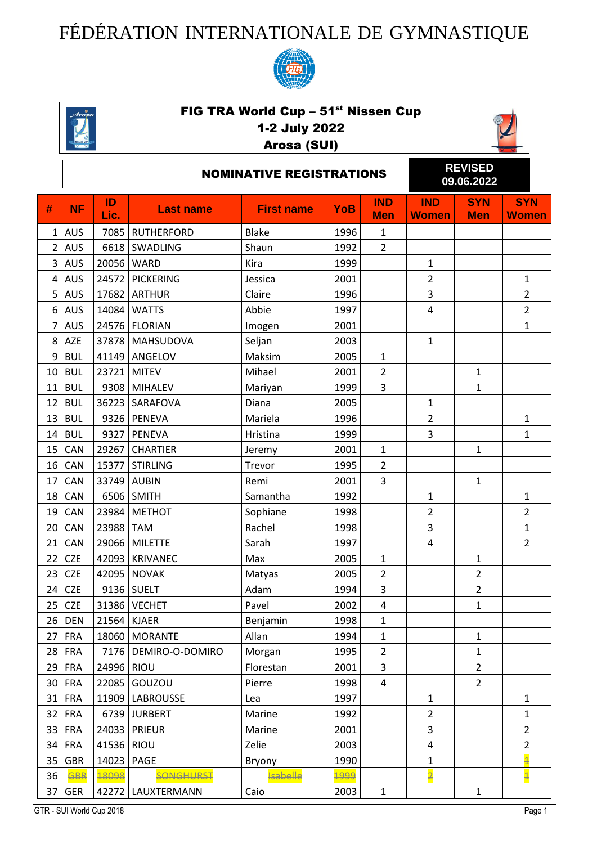## FÉDÉRATION INTERNATIONALE DE GYMNASTIQUE





## FIG TRA World Cup – 51<sup>st</sup> Nissen Cup 1-2 July 2022

## Arosa (SUI)



|                 | <b>NOMINATIVE REGISTRATIONS</b> |            |                   |                   |            |                          |                            | <b>REVISED</b><br>09.06.2022 |                            |  |
|-----------------|---------------------------------|------------|-------------------|-------------------|------------|--------------------------|----------------------------|------------------------------|----------------------------|--|
| #               | <b>NF</b>                       | ID<br>Lic. | <b>Last name</b>  | <b>First name</b> | <b>YoB</b> | <b>IND</b><br><b>Men</b> | <b>IND</b><br><b>Women</b> | <b>SYN</b><br><b>Men</b>     | <b>SYN</b><br><b>Women</b> |  |
| $\mathbf{1}$    | <b>AUS</b>                      | 7085       | <b>RUTHERFORD</b> | <b>Blake</b>      | 1996       | $\mathbf{1}$             |                            |                              |                            |  |
| $\overline{2}$  | <b>AUS</b>                      | 6618       | SWADLING          | Shaun             | 1992       | $\overline{2}$           |                            |                              |                            |  |
| 3               | <b>AUS</b>                      | 20056      | <b>WARD</b>       | Kira              | 1999       |                          | $\mathbf{1}$               |                              |                            |  |
| 4               | <b>AUS</b>                      | 24572      | <b>PICKERING</b>  | Jessica           | 2001       |                          | $\overline{2}$             |                              | $\mathbf{1}$               |  |
| 5               | <b>AUS</b>                      | 17682      | <b>ARTHUR</b>     | Claire            | 1996       |                          | $\overline{\mathbf{3}}$    |                              | $\overline{2}$             |  |
| 6               | <b>AUS</b>                      | 14084      | <b>WATTS</b>      | Abbie             | 1997       |                          | 4                          |                              | $\overline{2}$             |  |
| $\overline{7}$  | <b>AUS</b>                      | 24576      | <b>FLORIAN</b>    | Imogen            | 2001       |                          |                            |                              | $\mathbf{1}$               |  |
| 8               | AZE                             | 37878      | <b>MAHSUDOVA</b>  | Seljan            | 2003       |                          | $\mathbf{1}$               |                              |                            |  |
| 9               | <b>BUL</b>                      | 41149      | ANGELOV           | Maksim            | 2005       | $\mathbf{1}$             |                            |                              |                            |  |
| 10              | <b>BUL</b>                      | 23721      | <b>MITEV</b>      | Mihael            | 2001       | $\overline{2}$           |                            | $\mathbf{1}$                 |                            |  |
| 11              | <b>BUL</b>                      | 9308       | <b>MIHALEV</b>    | Mariyan           | 1999       | 3                        |                            | $\mathbf{1}$                 |                            |  |
| 12              | <b>BUL</b>                      | 36223      | SARAFOVA          | Diana             | 2005       |                          | $\mathbf{1}$               |                              |                            |  |
| 13              | <b>BUL</b>                      | 9326       | <b>PENEVA</b>     | Mariela           | 1996       |                          | $\overline{2}$             |                              | $\mathbf 1$                |  |
| 14              | <b>BUL</b>                      | 9327       | <b>PENEVA</b>     | Hristina          | 1999       |                          | $\overline{3}$             |                              | $\mathbf{1}$               |  |
| 15              | CAN                             | 29267      | <b>CHARTIER</b>   | Jeremy            | 2001       | $\mathbf 1$              |                            | $\mathbf{1}$                 |                            |  |
| 16              | CAN                             | 15377      | <b>STIRLING</b>   | Trevor            | 1995       | $\overline{2}$           |                            |                              |                            |  |
| 17              | CAN                             | 33749      | <b>AUBIN</b>      | Remi              | 2001       | 3                        |                            | $\mathbf{1}$                 |                            |  |
| 18              | CAN                             | 6506       | <b>SMITH</b>      | Samantha          | 1992       |                          | $\mathbf{1}$               |                              | $\mathbf{1}$               |  |
| 19              | CAN                             | 23984      | <b>METHOT</b>     | Sophiane          | 1998       |                          | $\overline{2}$             |                              | $\overline{2}$             |  |
| 20              | CAN                             | 23988      | <b>TAM</b>        | Rachel            | 1998       |                          | $\overline{\mathbf{3}}$    |                              | $\mathbf{1}$               |  |
| 21              | CAN                             | 29066      | <b>MILETTE</b>    | Sarah             | 1997       |                          | 4                          |                              | $\overline{2}$             |  |
| 22              | <b>CZE</b>                      | 42093      | <b>KRIVANEC</b>   | Max               | 2005       | $\mathbf{1}$             |                            | $\mathbf{1}$                 |                            |  |
| 23              | <b>CZE</b>                      | 42095      | <b>NOVAK</b>      | Matyas            | 2005       | $\overline{2}$           |                            | $\overline{2}$               |                            |  |
| 24              | <b>CZE</b>                      | 9136       | <b>SUELT</b>      | Adam              | 1994       | $\mathsf 3$              |                            | $\overline{2}$               |                            |  |
|                 | $25$ CZE                        |            | 31386 VECHET      | Pavel             | 2002       | $\pmb{4}$                |                            | 1                            |                            |  |
| 26 <sub>1</sub> | <b>DEN</b>                      | 21564      | <b>KJAER</b>      | Benjamin          | 1998       | 1                        |                            |                              |                            |  |
| 27 <sup>1</sup> | <b>FRA</b>                      | 18060      | <b>MORANTE</b>    | Allan             | 1994       | $\mathbf{1}$             |                            | $\mathbf{1}$                 |                            |  |
| 28              | <b>FRA</b>                      | 7176       | DEMIRO-O-DOMIRO   | Morgan            | 1995       | $\overline{2}$           |                            | $\mathbf{1}$                 |                            |  |
| 29              | <b>FRA</b>                      | 24996      | <b>RIOU</b>       | Florestan         | 2001       | 3                        |                            | $\overline{2}$               |                            |  |
| 30              | <b>FRA</b>                      | 22085      | GOUZOU            | Pierre            | 1998       | $\overline{4}$           |                            | $\overline{2}$               |                            |  |
|                 | 31 FRA                          | 11909      | <b>LABROUSSE</b>  | Lea               | 1997       |                          | $\mathbf{1}$               |                              | $\mathbf{1}$               |  |
| 32              | <b>FRA</b>                      | 6739       | <b>JURBERT</b>    | Marine            | 1992       |                          | $\overline{2}$             |                              | $\mathbf{1}$               |  |
|                 | 33 FRA                          | 24033      | <b>PRIEUR</b>     | Marine            | 2001       |                          | 3                          |                              | $\overline{2}$             |  |
|                 | $34$ FRA                        | 41536      | <b>RIOU</b>       | Zelie             | 2003       |                          | 4                          |                              | 2                          |  |
| 35              | <b>GBR</b>                      | 14023      | <b>PAGE</b>       | Bryony            | 1990       |                          | $\mathbf{1}$               |                              | $\overline{\textbf{1}}$    |  |
| 36              | <b>GBR</b>                      | 18098      | <b>SONGHURST</b>  | <b>Isabelle</b>   | 1999       |                          | $\overline{2}$             |                              | $\overline{\mathbf{1}}$    |  |
| 37              | GER                             | 42272      | LAUXTERMANN       | Caio              | 2003       | $\mathbf 1$              |                            | $\mathbf{1}$                 |                            |  |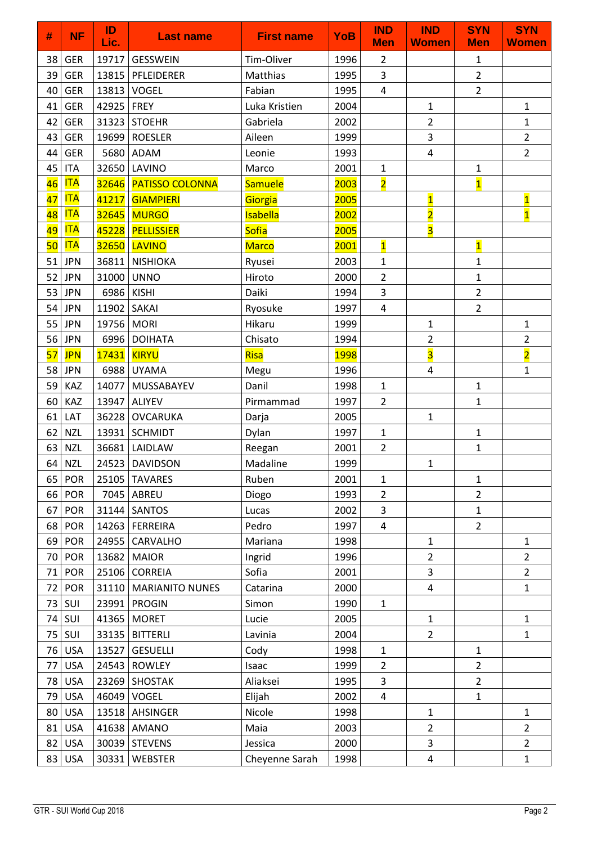| #  | <b>NF</b>  | ID<br>Lic. | <b>Last name</b>        | <b>First name</b> | <b>YoB</b>  | <b>IND</b><br><b>Men</b> | <b>IND</b><br><b>Women</b> | <b>SYN</b><br><b>Men</b> | <b>SYN</b><br><b>Women</b> |
|----|------------|------------|-------------------------|-------------------|-------------|--------------------------|----------------------------|--------------------------|----------------------------|
| 38 | <b>GER</b> | 19717      | <b>GESSWEIN</b>         | Tim-Oliver        | 1996        | $\overline{2}$           |                            | 1                        |                            |
| 39 | <b>GER</b> |            | 13815 PFLEIDERER        | Matthias          | 1995        | 3                        |                            | $\overline{2}$           |                            |
| 40 | <b>GER</b> | 13813      | VOGEL                   | Fabian            | 1995        | 4                        |                            | $\overline{2}$           |                            |
| 41 | <b>GER</b> | 42925      | <b>FREY</b>             | Luka Kristien     | 2004        |                          | $\mathbf{1}$               |                          | $\mathbf{1}$               |
| 42 | <b>GER</b> |            | 31323 STOEHR            | Gabriela          | 2002        |                          | $\overline{2}$             |                          | $\mathbf{1}$               |
| 43 | <b>GER</b> |            | 19699   ROESLER         | Aileen            | 1999        |                          | 3                          |                          | $\overline{2}$             |
| 44 | <b>GER</b> | 5680       | ADAM                    | Leonie            | 1993        |                          | $\overline{\mathbf{4}}$    |                          | $\overline{2}$             |
| 45 | <b>ITA</b> | 32650      | LAVINO                  | Marco             | 2001        | $\mathbf 1$              |                            | $\mathbf{1}$             |                            |
| 46 | <b>ITA</b> |            | 32646   PATISSO COLONNA | Samuele           | 2003        | $\overline{\mathbf{2}}$  |                            | $\overline{\mathbf{1}}$  |                            |
| 47 | <b>ITA</b> | 41217      | <b>GIAMPIERI</b>        | Giorgia           | 2005        |                          | $\overline{\mathbf{1}}$    |                          | $\overline{\mathbf{1}}$    |
| 48 | <b>ITA</b> |            | 32645 MURGO             | <b>Isabella</b>   | 2002        |                          | $\overline{\mathbf{2}}$    |                          | $\overline{\mathbf{1}}$    |
| 49 | <b>ITA</b> |            | 45228   PELLISSIER      | <b>Sofia</b>      | 2005        |                          | $\overline{\mathbf{3}}$    |                          |                            |
| 50 | <b>ITA</b> |            | 32650 LAVINO            | <b>Marco</b>      | 2001        | $\overline{\mathbf{1}}$  |                            | $\overline{\mathbf{1}}$  |                            |
| 51 | <b>JPN</b> | 36811      | <b>NISHIOKA</b>         | Ryusei            | 2003        | $\mathbf{1}$             |                            | $\mathbf{1}$             |                            |
| 52 | <b>JPN</b> | 31000      | <b>UNNO</b>             | Hiroto            | 2000        | $\overline{2}$           |                            | $\mathbf{1}$             |                            |
| 53 | <b>JPN</b> | 6986       | <b>KISHI</b>            | Daiki             | 1994        | $\overline{3}$           |                            | $\overline{2}$           |                            |
| 54 | <b>JPN</b> | 11902      | SAKAI                   | Ryosuke           | 1997        | 4                        |                            | $\overline{2}$           |                            |
| 55 | <b>JPN</b> | 19756      | <b>MORI</b>             | Hikaru            | 1999        |                          | 1                          |                          | $\mathbf 1$                |
| 56 | <b>JPN</b> | 6996       | <b>DOIHATA</b>          | Chisato           | 1994        |                          | $\overline{2}$             |                          | $\overline{2}$             |
| 57 | <b>JPN</b> | 17431      | <b>KIRYU</b>            | Risa              | <b>1998</b> |                          | $\overline{\mathbf{3}}$    |                          | $\overline{2}$             |
| 58 | <b>JPN</b> | 6988       | <b>UYAMA</b>            | Megu              | 1996        |                          | $\overline{\mathbf{4}}$    |                          | $\mathbf{1}$               |
| 59 | KAZ        | 14077      | MUSSABAYEV              | Danil             | 1998        | $\mathbf{1}$             |                            | $\mathbf{1}$             |                            |
| 60 | KAZ        | 13947      | <b>ALIYEV</b>           | Pirmammad         | 1997        | $\overline{2}$           |                            | $\mathbf{1}$             |                            |
| 61 | LAT        | 36228      | <b>OVCARUKA</b>         | Darja             | 2005        |                          | $\mathbf{1}$               |                          |                            |
| 62 | <b>NZL</b> | 13931      | <b>SCHMIDT</b>          | Dylan             | 1997        | $\mathbf{1}$             |                            | $\mathbf{1}$             |                            |
| 63 | <b>NZL</b> | 36681      | LAIDLAW                 | Reegan            | 2001        | $\overline{2}$           |                            | $\mathbf 1$              |                            |
| 64 | <b>NZL</b> |            | 24523 DAVIDSON          | Madaline          | 1999        |                          | $\mathbf{1}$               |                          |                            |
| 65 | POR        |            | 25105 TAVARES           | Ruben             | 2001        | 1                        |                            | 1                        |                            |
| 66 | POR        |            | 7045 ABREU              | Diogo             | 1993        | $\overline{2}$           |                            | $\overline{2}$           |                            |
| 67 | POR        |            | 31144 SANTOS            | Lucas             | 2002        | 3                        |                            | $\mathbf{1}$             |                            |
| 68 | <b>POR</b> |            | 14263 FERREIRA          | Pedro             | 1997        | 4                        |                            | $\overline{2}$           |                            |
| 69 | <b>POR</b> | 24955      | CARVALHO                | Mariana           | 1998        |                          | $\mathbf{1}$               |                          | $\mathbf 1$                |
| 70 | <b>POR</b> | 13682      | <b>MAIOR</b>            | Ingrid            | 1996        |                          | $\overline{2}$             |                          | $\overline{2}$             |
| 71 | <b>POR</b> |            | 25106 CORREIA           | Sofia             | 2001        |                          | 3                          |                          | $\overline{2}$             |
| 72 | POR        |            | 31110   MARIANITO NUNES | Catarina          | 2000        |                          | 4                          |                          | $\mathbf{1}$               |
| 73 | SUI        | 23991      | <b>PROGIN</b>           | Simon             | 1990        | $\mathbf{1}$             |                            |                          |                            |
| 74 | SUI        | 41365      | <b>MORET</b>            | Lucie             | 2005        |                          | $\mathbf{1}$               |                          | $\mathbf{1}$               |
| 75 | SUI        |            | 33135   BITTERLI        | Lavinia           | 2004        |                          | $\overline{2}$             |                          | $\mathbf{1}$               |
| 76 | <b>USA</b> | 13527      | <b>GESUELLI</b>         | Cody              | 1998        | $\mathbf{1}$             |                            | $\mathbf{1}$             |                            |
| 77 | <b>USA</b> | 24543      | <b>ROWLEY</b>           | Isaac             | 1999        | $\overline{2}$           |                            | $\overline{2}$           |                            |
| 78 | <b>USA</b> |            | 23269 SHOSTAK           | Aliaksei          | 1995        | $\overline{3}$           |                            | $\overline{2}$           |                            |
| 79 | <b>USA</b> |            | 46049 VOGEL             | Elijah            | 2002        | 4                        |                            | $\mathbf{1}$             |                            |
| 80 | <b>USA</b> | 13518      | AHSINGER                | Nicole            | 1998        |                          | $\mathbf{1}$               |                          | $\mathbf{1}$               |
| 81 | <b>USA</b> | 41638      | <b>AMANO</b>            | Maia              | 2003        |                          | $\overline{2}$             |                          | $\overline{2}$             |
| 82 | <b>USA</b> |            | 30039 STEVENS           | Jessica           | 2000        |                          | 3                          |                          | $\overline{2}$             |
| 83 | <b>USA</b> |            | 30331   WEBSTER         | Cheyenne Sarah    | 1998        |                          | 4                          |                          | $\mathbf{1}$               |